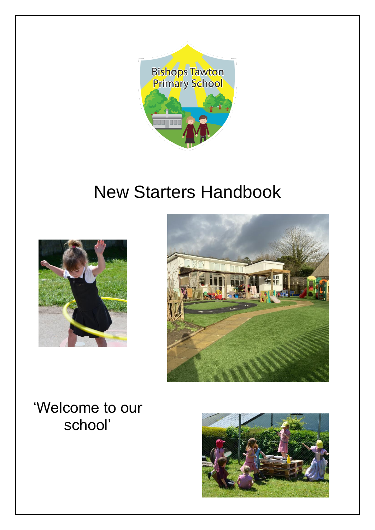

## New Starters Handbook





'Welcome to our school'

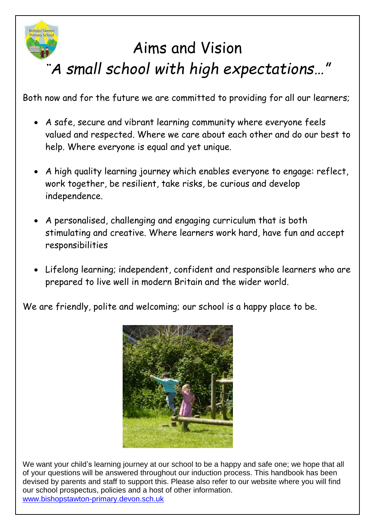

# Aims and Vision *"A small school with high expectations…"*

Both now and for the future we are committed to providing for all our learners;

- A safe, secure and vibrant learning community where everyone feels valued and respected. Where we care about each other and do our best to help. Where everyone is equal and yet unique.
- A high quality learning journey which enables everyone to engage: reflect, work together, be resilient, take risks, be curious and develop independence.
- A personalised, challenging and engaging curriculum that is both stimulating and creative. Where learners work hard, have fun and accept responsibilities
- Lifelong learning; independent, confident and responsible learners who are prepared to live well in modern Britain and the wider world.

We are friendly, polite and welcoming; our school is a happy place to be.



We want your child's learning journey at our school to be a happy and safe one; we hope that all of your questions will be answered throughout our induction process. This handbook has been devised by parents and staff to support this. Please also refer to our website where you will find our school prospectus, policies and a host of other information. [www.bishopstawton-primary.devon.sch.uk](http://www.bishopstawton-primary.devon.sch.uk/)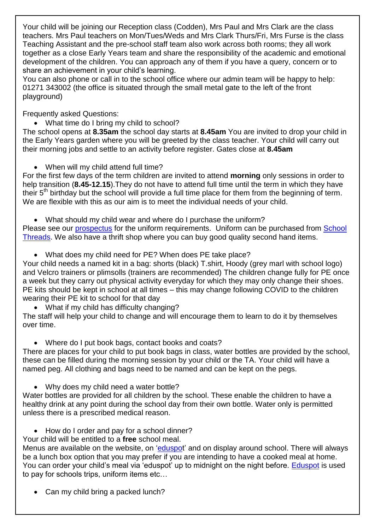Your child will be joining our Reception class (Codden), Mrs Paul and Mrs Clark are the class teachers. Mrs Paul teachers on Mon/Tues/Weds and Mrs Clark Thurs/Fri, Mrs Furse is the class Teaching Assistant and the pre-school staff team also work across both rooms; they all work together as a close Early Years team and share the responsibility of the academic and emotional development of the children. You can approach any of them if you have a query, concern or to share an achievement in your child's learning.

You can also phone or call in to the school office where our admin team will be happy to help: 01271 343002 (the office is situated through the small metal gate to the left of the front playground)

Frequently asked Questions:

• What time do I bring my child to school?

The school opens at **8.35am** the school day starts at **8.45am** You are invited to drop your child in the Early Years garden where you will be greeted by the class teacher. Your child will carry out their morning jobs and settle to an activity before register. Gates close at **8.45am**

• When will my child attend full time?

For the first few days of the term children are invited to attend **morning** only sessions in order to help transition (**8.45-12.15**).They do not have to attend full time until the term in which they have their 5<sup>th</sup> birthday but the school will provide a full time place for them from the beginning of term. We are flexible with this as our aim is to meet the individual needs of your child.

What should my child wear and where do I purchase the uniform?

Please see our [prospectus](https://bishops-tawton.eschools.co.uk/web/prospectus/188101) for the uniform requirements. Uniform can be purchased from School [Threads.](https://www.schoolthreads.org/bishops-tawton-primary) We also have a thrift shop where you can buy good quality second hand items.

What does my child need for PE? When does PE take place?

Your child needs a named kit in a bag: shorts (black) T.shirt, Hoody (grey marl with school logo) and Velcro trainers or plimsolls (trainers are recommended) The children change fully for PE once a week but they carry out physical activity everyday for which they may only change their shoes. PE kits should be kept in school at all times – this may change following COVID to the children wearing their PE kit to school for that day

What if my child has difficulty changing?

The staff will help your child to change and will encourage them to learn to do it by themselves over time.

Where do I put book bags, contact books and coats?

There are places for your child to put book bags in class, water bottles are provided by the school, these can be filled during the morning session by your child or the TA. Your child will have a named peg. All clothing and bags need to be named and can be kept on the pegs.

• Why does my child need a water bottle?

Water bottles are provided for all children by the school. These enable the children to have a healthy drink at any point during the school day from their own bottle. Water only is permitted unless there is a prescribed medical reason.

• How do I order and pay for a school dinner?

Your child will be entitled to a **free** school meal.

Menus are available on the website, on ['eduspot](https://login.eduspot.co.uk/public/portal/parent/?app=schoolmoney&source=logout&version=20190314)' and on display around school. There will always be a lunch box option that you may prefer if you are intending to have a cooked meal at home. You can order your child's meal via 'eduspot' up to midnight on the night before. [Eduspot](https://login.eduspot.co.uk/public/portal/parent/?app=schoolmoney&source=logout&version=20190314) is used to pay for schools trips, uniform items etc…

• Can my child bring a packed lunch?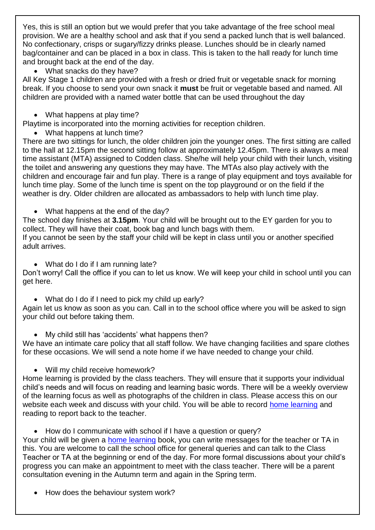Yes, this is still an option but we would prefer that you take advantage of the free school meal provision. We are a healthy school and ask that if you send a packed lunch that is well balanced. No confectionary, crisps or sugary/fizzy drinks please. Lunches should be in clearly named bag/container and can be placed in a box in class. This is taken to the hall ready for lunch time and brought back at the end of the day.

• What snacks do they have?

All Key Stage 1 children are provided with a fresh or dried fruit or vegetable snack for morning break. If you choose to send your own snack it **must** be fruit or vegetable based and named. All children are provided with a named water bottle that can be used throughout the day

• What happens at play time?

Playtime is incorporated into the morning activities for reception children.

What happens at lunch time?

There are two sittings for lunch, the older children join the younger ones. The first sitting are called to the hall at 12.15pm the second sitting follow at approximately 12.45pm. There is always a meal time assistant (MTA) assigned to Codden class. She/he will help your child with their lunch, visiting the toilet and answering any questions they may have. The MTAs also play actively with the children and encourage fair and fun play. There is a range of play equipment and toys available for lunch time play. Some of the lunch time is spent on the top playground or on the field if the weather is dry. Older children are allocated as ambassadors to help with lunch time play.

• What happens at the end of the day?

The school day finishes at **3.15pm**. Your child will be brought out to the EY garden for you to collect. They will have their coat, book bag and lunch bags with them.

If you cannot be seen by the staff your child will be kept in class until you or another specified adult arrives.

• What do I do if I am running late?

Don't worry! Call the office if you can to let us know. We will keep your child in school until you can get here.

• What do I do if I need to pick my child up early?

Again let us know as soon as you can. Call in to the school office where you will be asked to sign your child out before taking them.

My child still has 'accidents' what happens then?

We have an intimate care policy that all staff follow. We have changing facilities and spare clothes for these occasions. We will send a note home if we have needed to change your child.

Will my child receive homework?

Home learning is provided by the class teachers. They will ensure that it supports your individual child's needs and will focus on reading and learning basic words. There will be a weekly overview of the learning focus as well as photographs of the children in class. Please access this on our website each week and discuss with your child. You will be able to record [home learning](https://bishops-tawton.eschools.co.uk/web/home_learning/382108) and reading to report back to the teacher.

• How do I communicate with school if I have a question or query?

Your child will be given a home [learning](https://bishops-tawton.eschools.co.uk/web/home_learning/382108) book, you can write messages for the teacher or TA in this. You are welcome to call the school office for general queries and can talk to the Class Teacher or TA at the beginning or end of the day. For more formal discussions about your child's progress you can make an appointment to meet with the class teacher. There will be a parent consultation evening in the Autumn term and again in the Spring term.

How does the behaviour system work?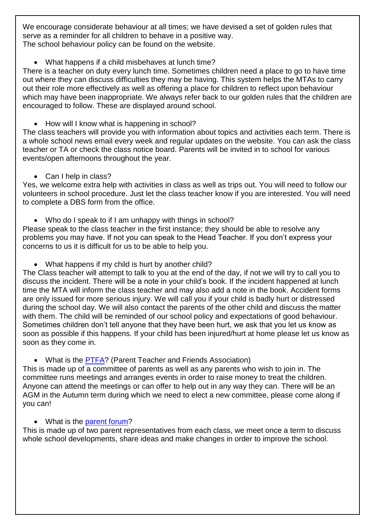We encourage considerate behaviour at all times; we have devised a set of golden rules that serve as a reminder for all children to behave in a positive way. The school behaviour policy can be found on the website.

What happens if a child misbehaves at lunch time?

There is a teacher on duty every lunch time. Sometimes children need a place to go to have time out where they can discuss difficulties they may be having. This system helps the MTAs to carry out their role more effectively as well as offering a place for children to reflect upon behaviour which may have been inappropriate. We always refer back to our golden rules that the children are encouraged to follow. These are displayed around school.

How will I know what is happening in school?

The class teachers will provide you with information about topics and activities each term. There is a whole school news email every week and regular updates on the website. You can ask the class teacher or TA or check the class notice board. Parents will be invited in to school for various events/open afternoons throughout the year.

• Can I help in class?

Yes, we welcome extra help with activities in class as well as trips out. You will need to follow our volunteers in school procedure. Just let the class teacher know if you are interested. You will need to complete a DBS form from the office.

• Who do I speak to if I am unhappy with things in school?

Please speak to the class teacher in the first instance; they should be able to resolve any problems you may have. If not you can speak to the Head Teacher. If you don't express your concerns to us it is difficult for us to be able to help you.

What happens if my child is hurt by another child?

The Class teacher will attempt to talk to you at the end of the day, if not we will try to call you to discuss the incident. There will be a note in your child's book. If the incident happened at lunch time the MTA will inform the class teacher and may also add a note in the book. Accident forms are only issued for more serious injury. We will call you if your child is badly hurt or distressed during the school day. We will also contact the parents of the other child and discuss the matter with them. The child will be reminded of our school policy and expectations of good behaviour. Sometimes children don't tell anyone that they have been hurt, we ask that you let us know as soon as possible if this happens. If your child has been injured/hurt at home please let us know as soon as they come in.

#### • What is the [PTFA?](https://bishops-tawton.eschools.co.uk/web/ptfa/184987) (Parent Teacher and Friends Association)

This is made up of a committee of parents as well as any parents who wish to join in. The committee runs meetings and arranges events in order to raise money to treat the children. Anyone can attend the meetings or can offer to help out in any way they can. There will be an AGM in the Autumn term during which we need to elect a new committee, please come along if you can!

#### • What is the [parent forum?](https://bishops-tawton.eschools.co.uk/web/parent_forum/184989)

This is made up of two parent representatives from each class, we meet once a term to discuss whole school developments, share ideas and make changes in order to improve the school.